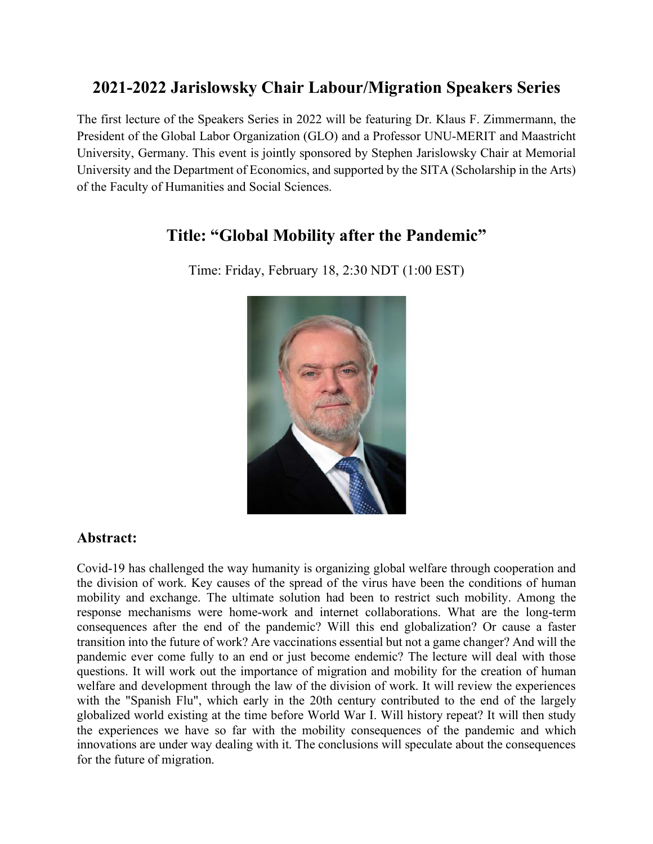# **2021-2022 Jarislowsky Chair Labour/Migration Speakers Series**

The first lecture of the Speakers Series in 2022 will be featuring Dr. Klaus F. Zimmermann, the President of the Global Labor Organization (GLO) and a Professor UNU-MERIT and Maastricht University, Germany. This event is jointly sponsored by Stephen Jarislowsky Chair at Memorial University and the Department of Economics, and supported by the SITA (Scholarship in the Arts) of the Faculty of Humanities and Social Sciences.

## **Title: "Global Mobility after the Pandemic"**



Time: Friday, February 18, 2:30 NDT (1:00 EST)

### **Abstract:**

Covid-19 has challenged the way humanity is organizing global welfare through cooperation and the division of work. Key causes of the spread of the virus have been the conditions of human mobility and exchange. The ultimate solution had been to restrict such mobility. Among the response mechanisms were home-work and internet collaborations. What are the long-term consequences after the end of the pandemic? Will this end globalization? Or cause a faster transition into the future of work? Are vaccinations essential but not a game changer? And will the pandemic ever come fully to an end or just become endemic? The lecture will deal with those questions. It will work out the importance of migration and mobility for the creation of human welfare and development through the law of the division of work. It will review the experiences with the "Spanish Flu", which early in the 20th century contributed to the end of the largely globalized world existing at the time before World War I. Will history repeat? It will then study the experiences we have so far with the mobility consequences of the pandemic and which innovations are under way dealing with it. The conclusions will speculate about the consequences for the future of migration.